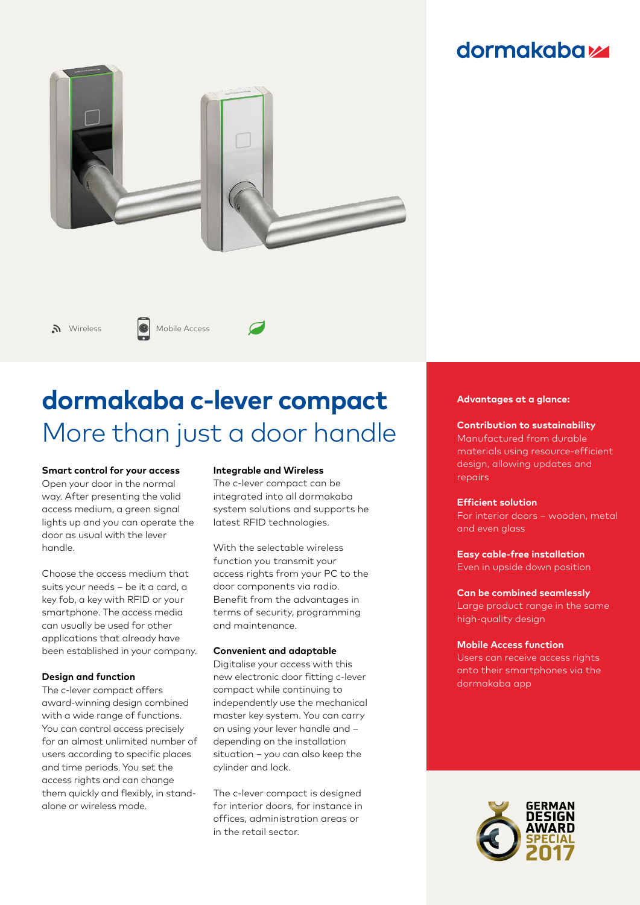# **dormakabazz**



# **dormakaba c-lever compact** More than just a door handle

### **Smart control for your access**

Open your door in the normal way. After presenting the valid access medium, a green signal lights up and you can operate the door as usual with the lever handle.

Choose the access medium that suits your needs – be it a card, a key fob, a key with RFID or your smartphone. The access media can usually be used for other applications that already have been established in your company.

# **Design and function**

The c-lever compact offers award-winning design combined with a wide range of functions. You can control access precisely for an almost unlimited number of users according to specific places and time periods. You set the access rights and can change them quickly and flexibly, in standalone or wireless mode.

### **Integrable and Wireless**

The c-lever compact can be integrated into all dormakaba system solutions and supports he latest RFID technologies.

With the selectable wireless function you transmit your access rights from your PC to the door components via radio. Benefit from the advantages in terms of security, programming and maintenance.

### **Convenient and adaptable**

Digitalise your access with this new electronic door fitting c-lever compact while continuing to independently use the mechanical master key system. You can carry on using your lever handle and – depending on the installation situation – you can also keep the cylinder and lock.

The c-lever compact is designed for interior doors, for instance in offices, administration areas or in the retail sector.

### **Advantages at a glance:**

# **Contribution to sustainability**

Manufactured from durable materials using resource-efficient design, allowing updates and repairs

#### **Efficient solution**

For interior doors – wooden, metal and even glass

# **Easy cable-free installation**

Even in upside down position

### **Can be combined seamlessly**

Large product range in the same high-quality design

#### **Mobile Access function**

Users can receive access rights onto their smartphones via the dormakaba app